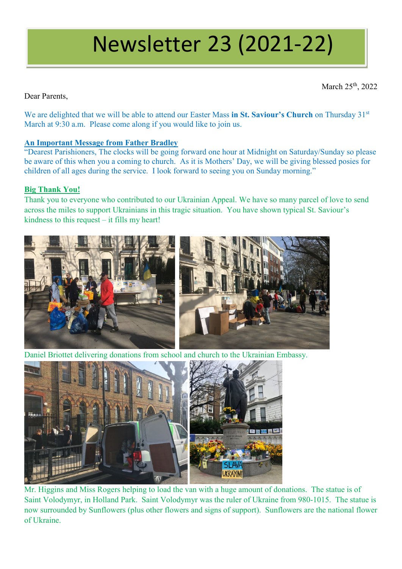# Newsletter 23 (2021-22)

March 25<sup>th</sup>, 2022

Dear Parents,

We are delighted that we will be able to attend our Easter Mass in St. Saviour's Church on Thursday 31<sup>st</sup> March at 9:30 a.m. Please come along if you would like to join us.

# **An Important Message from Father Bradley**

"Dearest Parishioners, The clocks will be going forward one hour at Midnight on Saturday/Sunday so please be aware of this when you a coming to church. As it is Mothers' Day, we will be giving blessed posies for children of all ages during the service. I look forward to seeing you on Sunday morning."

# **Big Thank You!**

Thank you to everyone who contributed to our Ukrainian Appeal. We have so many parcel of love to send across the miles to support Ukrainians in this tragic situation. You have shown typical St. Saviour's kindness to this request – it fills my heart!



Daniel Briottet delivering donations from school and church to the Ukrainian Embassy.



Mr. Higgins and Miss Rogers helping to load the van with a huge amount of donations. The statue is of Saint Volodymyr, in Holland Park. Saint Volodymyr was the ruler of Ukraine from 980-1015. The statue is now surrounded by Sunflowers (plus other flowers and signs of support). Sunflowers are the national flower of Ukraine.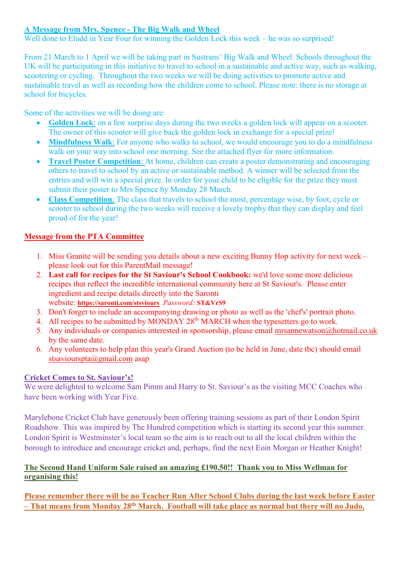# **A Message from Mrs. Spence - The Big Walk and Wheel**

Well done to Eludd in Year Four for winning the Golden Lock this week – he was so surprised!

From 21 March to 1 April we will be taking part in Sustrans' Big Walk and Wheel. Schools throughout the UK will be participating in this initiative to travel to school in a sustainable and active way, such as walking, scootering or cycling. Throughout the two weeks we will be doing activities to promote active and sustainable travel as well as recording how the children come to school. Please note: there is no storage at school for bicycles.

Some of the activities we will be doing are:

- **Golden Lock**: on a few surprise days during the two weeks a golden lock will appear on a scooter. The owner of this scooter will give back the golden lock in exchange for a special prize!
- **Mindfulness Walk**: For anyone who walks to school, we would encourage you to do a mindfulness walk on your way into school one morning. See the attached flyer for more information.
- **Travel Poster Competition**: At home, children can create a poster demonstrating and encouraging others to travel to school by an active or sustainable method. A winner will be selected from the entries and will win a special prize. In order for your child to be eligible for the prize they must submit their poster to Mrs Spence by Monday 28 March.
- **Class Competition**: The class that travels to school the most, percentage wise, by foot, cycle or scooter to school during the two weeks will receive a lovely trophy that they can display and feel proud of for the year!

# **Message from the PTA Committee**

- 1. Miss Granite will be sending you details about a new exciting Bunny Hop activity for next week please look out for this ParentMail message!
- 2. **Last call for recipes for the St Saviour's School Cookbook:** we'd love some more delicious recipes that reflect the incredible international community here at St Saviour's. Please enter ingredient and recipe details directly into the Saronti website: **[https://saronti.com/stsviours](https://emea01.safelinks.protection.outlook.com/?url=https%3A%2F%2Fsaronti.com%2Fstsviours&data=04%7C01%7C%7C44386a2a9beb4f3f046f08d9ed5d906b%7C84df9e7fe9f640afb435aaaaaaaaaaaa%7C1%7C0%7C637801808368942835%7CUnknown%7CTWFpbGZsb3d8eyJWIjoiMC4wLjAwMDAiLCJQIjoiV2luMzIiLCJBTiI6Ik1haWwiLCJXVCI6Mn0%3D%7C3000&sdata=WNMPfQULURMXyYL6eHEIT1LN3hvxxqDtyTSL6UAL%2Flw%3D&reserved=0)** *Password:* **ST&VrS9**
- 3. Don't forget to include an accompanying drawing or photo as well as the 'chef's' portrait photo.
- 4. All recipes to be submitted by MONDAY 28<sup>th</sup> MARCH when the typesetters go to work.
- 5. Any individuals or companies interested in sponsorship, please email [mrsannewatson@hotmail.co.uk](mailto:mrsannewatson@hotmail.co.uk) by the same date.
- 6. Any volunteers to help plan this year's Grand Auction (to be held in June, date tbc) should email [stsaviourspta@gmail.com](mailto:stsaviourspta@gmail.com) asap

## **Cricket Comes to St. Saviour's!**

We were delighted to welcome Sam Pimm and Harry to St. Saviour's as the visiting MCC Coaches who have been working with Year Five.

Marylebone Cricket Club have generously been offering training sessions as part of their London Spirit Roadshow. This was inspired by The Hundred competition which is starting its second year this summer. London Spirit is Westminster's local team so the aim is to reach out to all the local children within the borough to introduce and encourage cricket and, perhaps, find the next Eoin Morgan or Heather Knight!

## **The Second Hand Uniform Sale raised an amazing £190.50!! Thank you to Miss Wellman for organising this!**

**Please remember there will be no Teacher Run After School Clubs during the last week before Easter – That means from Monday 28th March. Football will take place as normal but there will no Judo.**